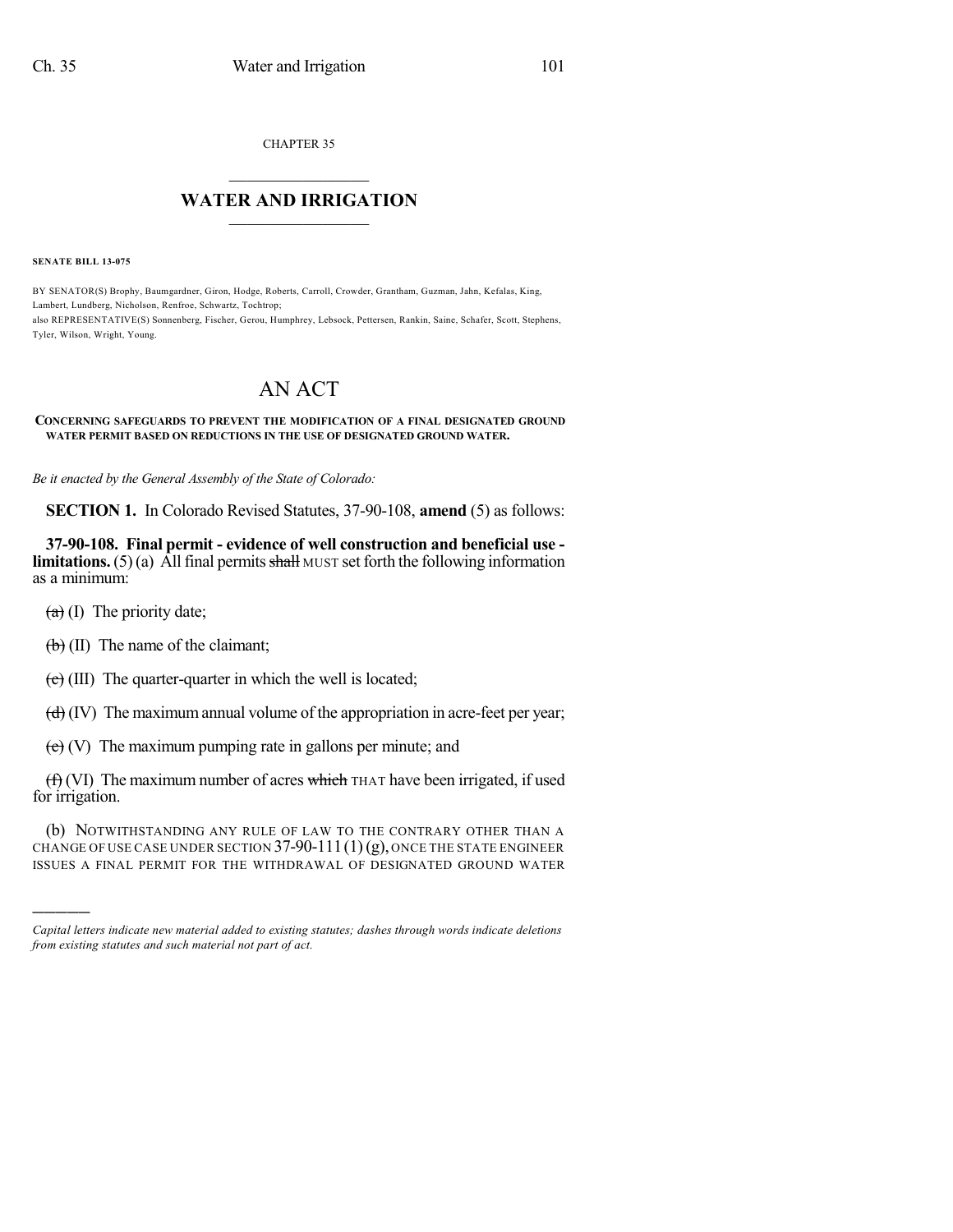CHAPTER 35

## $\mathcal{L}_\text{max}$  . The set of the set of the set of the set of the set of the set of the set of the set of the set of the set of the set of the set of the set of the set of the set of the set of the set of the set of the set **WATER AND IRRIGATION**  $\_$   $\_$

**SENATE BILL 13-075**

BY SENATOR(S) Brophy, Baumgardner, Giron, Hodge, Roberts, Carroll, Crowder, Grantham, Guzman, Jahn, Kefalas, King, Lambert, Lundberg, Nicholson, Renfroe, Schwartz, Tochtrop; also REPRESENTATIVE(S) Sonnenberg, Fischer, Gerou, Humphrey, Lebsock, Pettersen, Rankin, Saine, Schafer, Scott, Stephens, Tyler, Wilson, Wright, Young.

## AN ACT

## **CONCERNING SAFEGUARDS TO PREVENT THE MODIFICATION OF A FINAL DESIGNATED GROUND WATER PERMIT BASED ON REDUCTIONS IN THE USE OF DESIGNATED GROUND WATER.**

*Be it enacted by the General Assembly of the State of Colorado:*

**SECTION 1.** In Colorado Revised Statutes, 37-90-108, **amend** (5) as follows:

**37-90-108. Final permit - evidence of well construction and beneficial use limitations.** (5) (a) All final permits  $\frac{\text{shall}}{\text{d}x}$  MUST set forth the following information as a minimum:

 $(a)$  (I) The priority date;

)))))

 $(b)$  (II) The name of the claimant;

 $(e)$  (III) The quarter-quarter in which the well is located;

 $(d)$  (IV) The maximum annual volume of the appropriation in acre-feet per year;

 $(e)$  (V) The maximum pumping rate in gallons per minute; and

 $(f)$  (VI) The maximum number of acres which THAT have been irrigated, if used for irrigation.

(b) NOTWITHSTANDING ANY RULE OF LAW TO THE CONTRARY OTHER THAN A CHANGE OF USE CASE UNDER SECTION  $37-90-111(1)(g)$ , ONCE THE STATE ENGINEER ISSUES A FINAL PERMIT FOR THE WITHDRAWAL OF DESIGNATED GROUND WATER

*Capital letters indicate new material added to existing statutes; dashes through words indicate deletions from existing statutes and such material not part of act.*